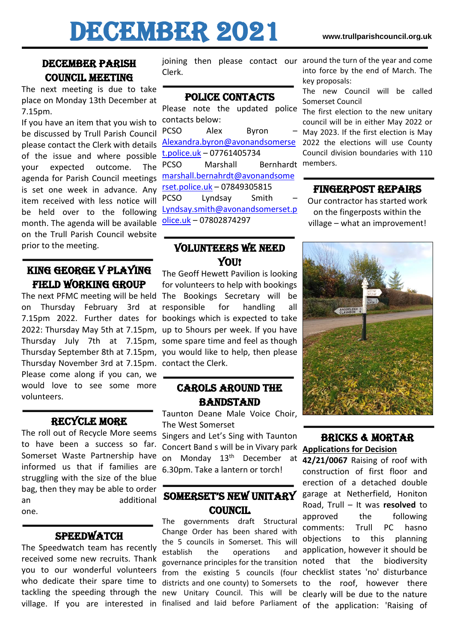# DECEMBER 2021 **www.trullparishcouncil.org.uk**

# DECEMBER PARISH Council Meeting

The next meeting is due to take place on Monday 13th December at 7.15pm.

If you have an item that you wish to be discussed by Trull Parish Council please contact the Clerk with details of the issue and where possible your expected outcome. The agenda for Parish Council meetings is set one week in advance. Any item received with less notice will be held over to the following month. The agenda will be available on the Trull Parish Council website prior to the meeting.

## King George V Playing Field Working Group

Thursday September 8th at 7.15pm, you would like to help, then please Thursday November 3rd at 7.15pm. contact the Clerk. Please come along if you can, we would love to see some more volunteers.

## Recycle more

The roll out of Recycle More seems to have been a success so far. Somerset Waste Partnership have informed us that if families are struggling with the size of the blue bag, then they may be able to order an additional one.

## **SPEEDWATCH**

The Speedwatch team has recently received some new recruits. Thank you to our wonderful volunteers who dedicate their spare time to tackling the speeding through the village. If you are interested in

Clerk.

### POLICE CONTACTS

Please note the updated police contacts below: PCSO Alex Byron [Alexandra.byron@avonandsomerse](mailto:Alexandra.byron@avonandsomerset.police.uk) [t.police.uk](mailto:Alexandra.byron@avonandsomerset.police.uk) – 07761405734 PCSO Marshall Bernhardt members. [marshall.bernahrdt@avonandsome](mailto:marshall.bernahrdt@avonandsomerset.police.uk) [rset.police.uk](mailto:marshall.bernahrdt@avonandsomerset.police.uk) – 07849305815 PCSO Lyndsay Smith – [Lyndsay.smith@avonandsomerset.p](mailto:Lyndsay.smith@avonandsomerset.police.uk) [olice.uk](mailto:Lyndsay.smith@avonandsomerset.police.uk) – 07802874297

## Volunteers we need Y<sub>OU</sub>!

The next PFMC meeting will be held The Bookings Secretary will be on Thursday February 3rd at responsible for handling all 7.15pm 2022. Further dates for bookings which is expected to take 2022: Thursday May 5th at 7.15pm, up to 5hours per week. If you have Thursday July 7th at 7.15pm, some spare time and feel as though The Geoff Hewett Pavilion is looking for volunteers to help with bookings

## Carols around the **BANDSTAND**

Taunton Deane Male Voice Choir, The West Somerset

Singers and Let's Sing with Taunton Concert Band s will be in Vivary park on Monday 13th December at **42/21/0067** Raising of roof with 6.30pm. Take a lantern or torch!

## Somerset's new unitary **COUNCIL**

The governments draft Structural Change Order has been shared with the 5 councils in Somerset. This will establish the operations governance principles for the transition noted that the biodiversity from the existing 5 councils (four checklist states 'no' disturbance districts and one county) to Somersets to the roof, however there new Unitary Council. This will be clearly will be due to the nature

joining then please contact our around the turn of the year and come into force by the end of March. The key proposals:

> The new Council will be called Somerset Council

> The first election to the new unitary council will be in either May 2022 or May 2023. If the first election is May 2022 the elections will use County Council division boundaries with 110

#### Fingerpost repairs

Our contractor has started work on the fingerposts within the village – what an improvement!



#### Bricks & mortar **Applications for Decision**

finalised and laid before Parliament of the application: 'Raising of construction of first floor and erection of a detached double garage at Netherfield, Honiton Road, Trull – It was **resolved** to approved the following comments: Trull PC hasno objections to this planning and application, however it should be